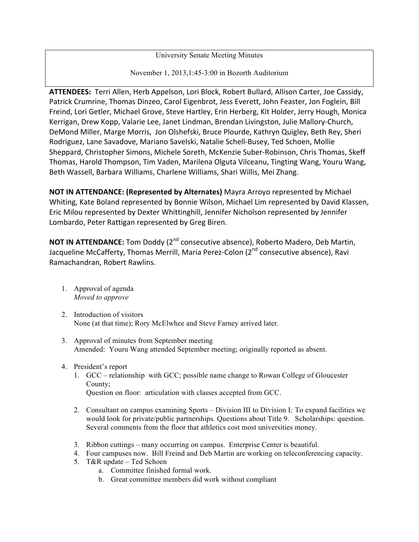University Senate Meeting Minutes

November 1, 2013,1:45-3:00 in Bozorth Auditorium

ATTENDEES: Terri Allen, Herb Appelson, Lori Block, Robert Bullard, Allison Carter, Joe Cassidy, Patrick Crumrine, Thomas Dinzeo, Carol Eigenbrot, Jess Everett, John Feaster, Jon Foglein, Bill Freind, Lori Getler, Michael Grove, Steve Hartley, Erin Herberg, Kit Holder, Jerry Hough, Monica Kerrigan, Drew Kopp, Valarie Lee, Janet Lindman, Brendan Livingston, Julie Mallory-Church, DeMond Miller, Marge Morris, Jon Olshefski, Bruce Plourde, Kathryn Quigley, Beth Rey, Sheri Rodriguez, Lane Savadove, Mariano Savelski, Natalie Schell-Busey, Ted Schoen, Mollie Sheppard, Christopher Simons, Michele Soreth, McKenzie Suber-Robinson, Chris Thomas, Skeff Thomas, Harold Thompson, Tim Vaden, Marilena Olguta Vilceanu, Tingting Wang, Youru Wang, Beth Wassell, Barbara Williams, Charlene Williams, Shari Willis, Mei Zhang.

**NOT IN ATTENDANCE: (Represented by Alternates)** Mayra Arroyo represented by Michael Whiting, Kate Boland represented by Bonnie Wilson, Michael Lim represented by David Klassen, Eric Milou represented by Dexter Whittinghill, Jennifer Nicholson represented by Jennifer Lombardo, Peter Rattigan represented by Greg Biren.

**NOT IN ATTENDANCE:** Tom Doddy (2<sup>nd</sup> consecutive absence), Roberto Madero, Deb Martin, Jacqueline McCafferty, Thomas Merrill, Maria Perez-Colon (2<sup>nd</sup> consecutive absence), Ravi Ramachandran, Robert Rawlins.

- 1. Approval of agenda *Moved to approve*
- 2. Introduction of visitors None (at that time); Rory McElwhee and Steve Farney arrived later.
- 3. Approval of minutes from September meeting Amended: Youru Wang attended September meeting; originally reported as absent.
- 4. President's report
	- 1. GCC relationship with GCC; possible name change to Rowan College of Gloucester County; Question on floor: articulation with classes accepted from GCC.
	- 2. Consultant on campus examining Sports Division III to Division I*;* To expand facilities we would look for private/public partnerships. Questions about Title 9. Scholarships: question. Several comments from the floor that athletics cost most universities money.
	- 3. Ribbon cuttings many occurring on campus. Enterprise Center is beautiful.
	- 4. Four campuses now. Bill Freind and Deb Martin are working on teleconferencing capacity.
	- 5. T&R update Ted Schoen
		- a. Committee finished formal work.
		- b. Great committee members did work without compliant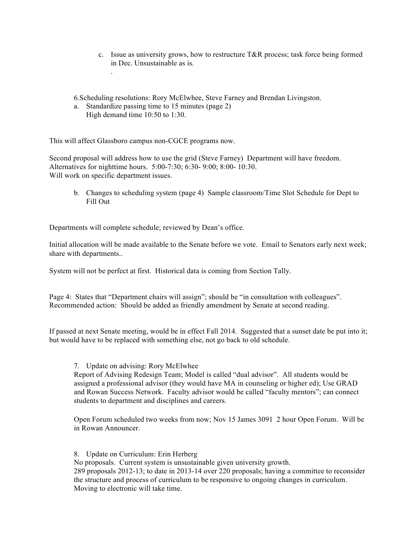c. Issue as university grows, how to restructure T&R process; task force being formed in Dec. Unsustainable as is.

6.Scheduling resolutions: Rory McElwhee, Steve Farney and Brendan Livingston.

a. Standardize passing time to 15 minutes (page 2) High demand time 10:50 to 1:30.

This will affect Glassboro campus non-CGCE programs now.

.

Second proposal will address how to use the grid (Steve Farney) Department will have freedom. Alternatives for nighttime hours. 5:00-7:30; 6:30- 9:00; 8:00- 10:30. Will work on specific department issues.

b. Changes to scheduling system (page 4) Sample classroom/Time Slot Schedule for Dept to Fill Out

Departments will complete schedule; reviewed by Dean's office.

Initial allocation will be made available to the Senate before we vote. Email to Senators early next week; share with departments..

System will not be perfect at first. Historical data is coming from Section Tally.

Page 4: States that "Department chairs will assign"; should be "in consultation with colleagues". Recommended action: Should be added as friendly amendment by Senate at second reading.

If passed at next Senate meeting, would be in effect Fall 2014. Suggested that a sunset date be put into it; but would have to be replaced with something else, not go back to old schedule.

## 7. Update on advising: Rory McElwhee

Report of Advising Redesign Team; Model is called "dual advisor". All students would be assigned a professional advisor (they would have MA in counseling or higher ed); Use GRAD and Rowan Success Network. Faculty advisor would be called "faculty mentors"; can connect students to department and disciplines and careers.

Open Forum scheduled two weeks from now; Nov 15 James 3091 2 hour Open Forum. Will be in Rowan Announcer.

8. Update on Curriculum: Erin Herberg No proposals. Current system is unsustainable given university growth. 289 proposals 2012-13; to date in 2013-14 over 220 proposals; having a committee to reconsider the structure and process of curriculum to be responsive to ongoing changes in curriculum. Moving to electronic will take time.